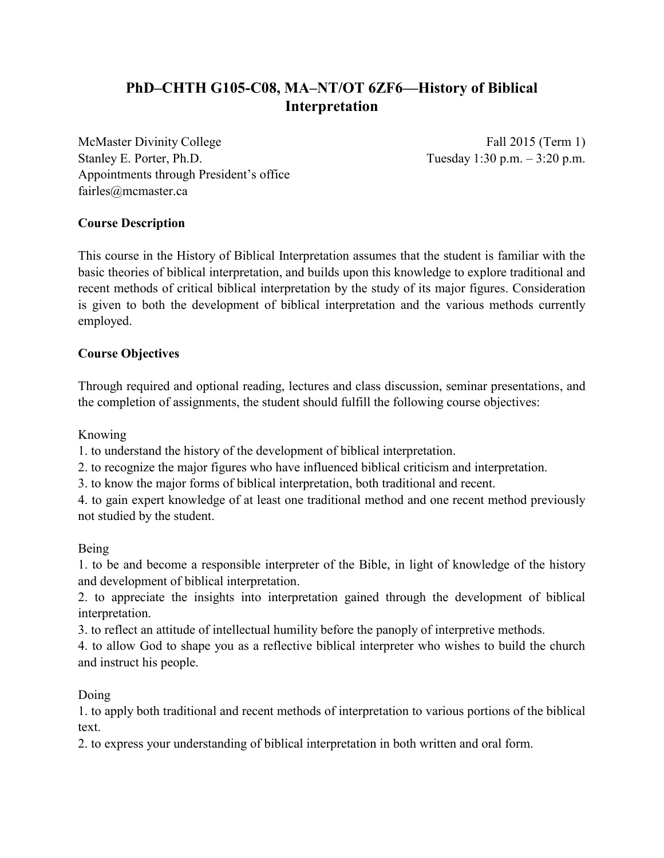# **PhD–CHTH G105-C08, MA–NT/OT 6ZF6—History of Biblical Interpretation**

McMaster Divinity College Fall 2015 (Term 1) Stanley E. Porter, Ph.D. Tuesday 1:30 p.m. – 3:20 p.m. Appointments through President's office fairles@mcmaster.ca

# **Course Description**

This course in the History of Biblical Interpretation assumes that the student is familiar with the basic theories of biblical interpretation, and builds upon this knowledge to explore traditional and recent methods of critical biblical interpretation by the study of its major figures. Consideration is given to both the development of biblical interpretation and the various methods currently employed.

# **Course Objectives**

Through required and optional reading, lectures and class discussion, seminar presentations, and the completion of assignments, the student should fulfill the following course objectives:

Knowing

1. to understand the history of the development of biblical interpretation.

2. to recognize the major figures who have influenced biblical criticism and interpretation.

3. to know the major forms of biblical interpretation, both traditional and recent.

4. to gain expert knowledge of at least one traditional method and one recent method previously not studied by the student.

# Being

1. to be and become a responsible interpreter of the Bible, in light of knowledge of the history and development of biblical interpretation.

2. to appreciate the insights into interpretation gained through the development of biblical interpretation.

3. to reflect an attitude of intellectual humility before the panoply of interpretive methods.

4. to allow God to shape you as a reflective biblical interpreter who wishes to build the church and instruct his people.

Doing

1. to apply both traditional and recent methods of interpretation to various portions of the biblical text.

2. to express your understanding of biblical interpretation in both written and oral form.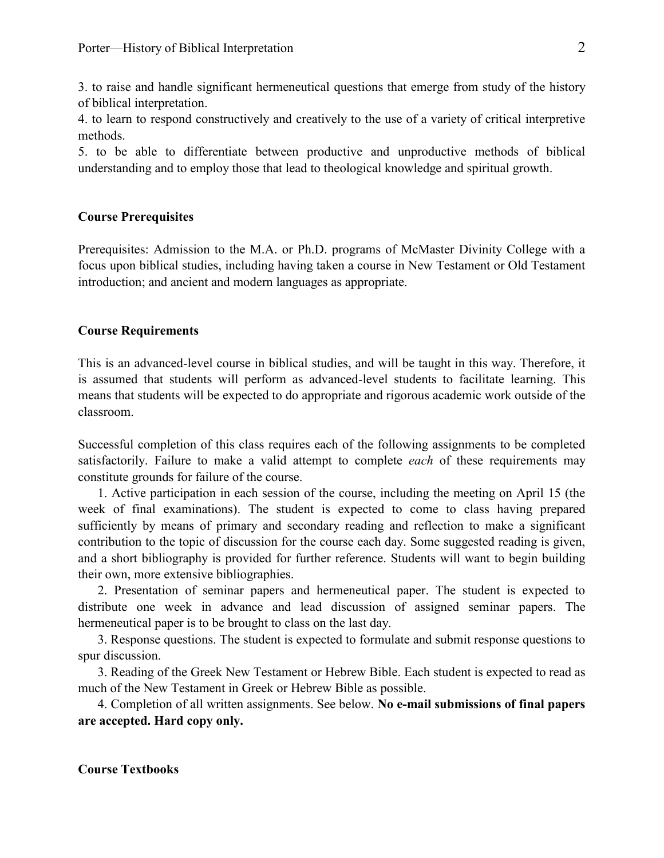3. to raise and handle significant hermeneutical questions that emerge from study of the history of biblical interpretation.

4. to learn to respond constructively and creatively to the use of a variety of critical interpretive methods.

5. to be able to differentiate between productive and unproductive methods of biblical understanding and to employ those that lead to theological knowledge and spiritual growth.

## **Course Prerequisites**

Prerequisites: Admission to the M.A. or Ph.D. programs of McMaster Divinity College with a focus upon biblical studies, including having taken a course in New Testament or Old Testament introduction; and ancient and modern languages as appropriate.

## **Course Requirements**

This is an advanced-level course in biblical studies, and will be taught in this way. Therefore, it is assumed that students will perform as advanced-level students to facilitate learning. This means that students will be expected to do appropriate and rigorous academic work outside of the classroom.

Successful completion of this class requires each of the following assignments to be completed satisfactorily. Failure to make a valid attempt to complete *each* of these requirements may constitute grounds for failure of the course.

1. Active participation in each session of the course, including the meeting on April 15 (the week of final examinations). The student is expected to come to class having prepared sufficiently by means of primary and secondary reading and reflection to make a significant contribution to the topic of discussion for the course each day. Some suggested reading is given, and a short bibliography is provided for further reference. Students will want to begin building their own, more extensive bibliographies.

2. Presentation of seminar papers and hermeneutical paper. The student is expected to distribute one week in advance and lead discussion of assigned seminar papers. The hermeneutical paper is to be brought to class on the last day.

3. Response questions. The student is expected to formulate and submit response questions to spur discussion.

3. Reading of the Greek New Testament or Hebrew Bible. Each student is expected to read as much of the New Testament in Greek or Hebrew Bible as possible.

4. Completion of all written assignments. See below. **No e-mail submissions of final papers are accepted. Hard copy only.**

# **Course Textbooks**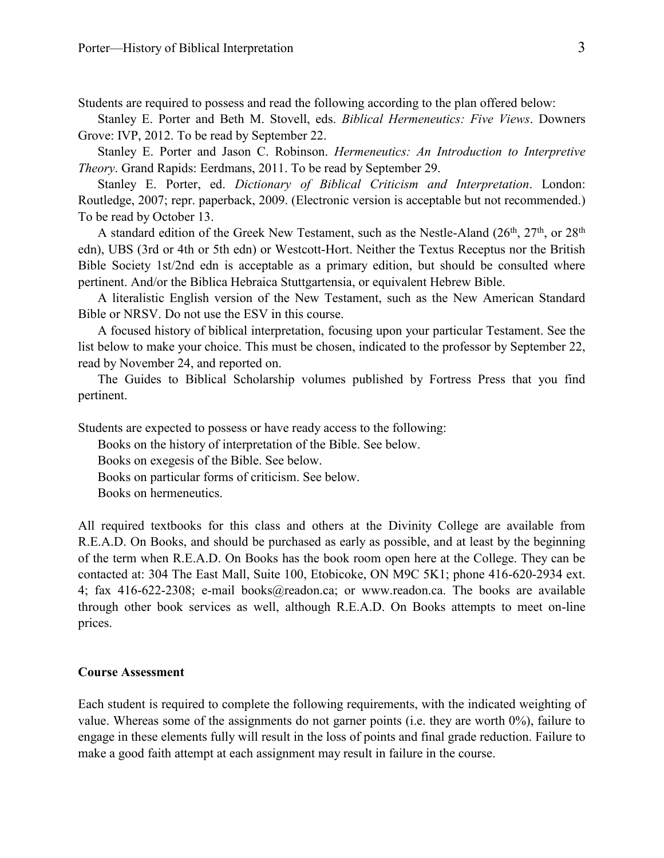Students are required to possess and read the following according to the plan offered below:

Stanley E. Porter and Beth M. Stovell, eds. *Biblical Hermeneutics: Five Views*. Downers Grove: IVP, 2012. To be read by September 22.

Stanley E. Porter and Jason C. Robinson. *Hermeneutics: An Introduction to Interpretive Theory*. Grand Rapids: Eerdmans, 2011. To be read by September 29.

Stanley E. Porter, ed. *Dictionary of Biblical Criticism and Interpretation*. London: Routledge, 2007; repr. paperback, 2009. (Electronic version is acceptable but not recommended.) To be read by October 13.

A standard edition of the Greek New Testament, such as the Nestle-Aland  $(26<sup>th</sup>, 27<sup>th</sup>)$ , or  $28<sup>th</sup>$ edn), UBS (3rd or 4th or 5th edn) or Westcott-Hort. Neither the Textus Receptus nor the British Bible Society 1st/2nd edn is acceptable as a primary edition, but should be consulted where pertinent. And/or the Biblica Hebraica Stuttgartensia, or equivalent Hebrew Bible.

A literalistic English version of the New Testament, such as the New American Standard Bible or NRSV. Do not use the ESV in this course.

A focused history of biblical interpretation, focusing upon your particular Testament. See the list below to make your choice. This must be chosen, indicated to the professor by September 22, read by November 24, and reported on.

The Guides to Biblical Scholarship volumes published by Fortress Press that you find pertinent.

Students are expected to possess or have ready access to the following:

Books on the history of interpretation of the Bible. See below.

Books on exegesis of the Bible. See below.

Books on particular forms of criticism. See below.

Books on hermeneutics.

All required textbooks for this class and others at the Divinity College are available from R.E.A.D. On Books, and should be purchased as early as possible, and at least by the beginning of the term when R.E.A.D. On Books has the book room open here at the College. They can be contacted at: 304 The East Mall, Suite 100, Etobicoke, ON M9C 5K1; phone 416-620-2934 ext. 4; fax 416-622-2308; e-mail books@readon.ca; or www.readon.ca. The books are available through other book services as well, although R.E.A.D. On Books attempts to meet on-line prices.

#### **Course Assessment**

Each student is required to complete the following requirements, with the indicated weighting of value. Whereas some of the assignments do not garner points (i.e. they are worth 0%), failure to engage in these elements fully will result in the loss of points and final grade reduction. Failure to make a good faith attempt at each assignment may result in failure in the course.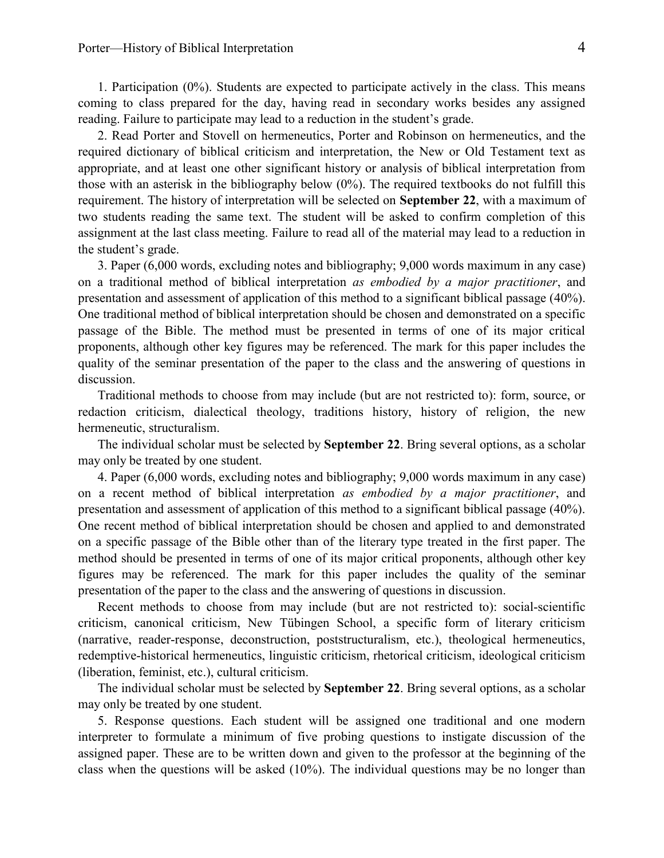1. Participation (0%). Students are expected to participate actively in the class. This means coming to class prepared for the day, having read in secondary works besides any assigned reading. Failure to participate may lead to a reduction in the student's grade.

2. Read Porter and Stovell on hermeneutics, Porter and Robinson on hermeneutics, and the required dictionary of biblical criticism and interpretation, the New or Old Testament text as appropriate, and at least one other significant history or analysis of biblical interpretation from those with an asterisk in the bibliography below (0%). The required textbooks do not fulfill this requirement. The history of interpretation will be selected on **September 22**, with a maximum of two students reading the same text. The student will be asked to confirm completion of this assignment at the last class meeting. Failure to read all of the material may lead to a reduction in the student's grade.

3. Paper (6,000 words, excluding notes and bibliography; 9,000 words maximum in any case) on a traditional method of biblical interpretation *as embodied by a major practitioner*, and presentation and assessment of application of this method to a significant biblical passage (40%). One traditional method of biblical interpretation should be chosen and demonstrated on a specific passage of the Bible. The method must be presented in terms of one of its major critical proponents, although other key figures may be referenced. The mark for this paper includes the quality of the seminar presentation of the paper to the class and the answering of questions in discussion.

Traditional methods to choose from may include (but are not restricted to): form, source, or redaction criticism, dialectical theology, traditions history, history of religion, the new hermeneutic, structuralism.

The individual scholar must be selected by **September 22**. Bring several options, as a scholar may only be treated by one student.

4. Paper (6,000 words, excluding notes and bibliography; 9,000 words maximum in any case) on a recent method of biblical interpretation *as embodied by a major practitioner*, and presentation and assessment of application of this method to a significant biblical passage (40%). One recent method of biblical interpretation should be chosen and applied to and demonstrated on a specific passage of the Bible other than of the literary type treated in the first paper. The method should be presented in terms of one of its major critical proponents, although other key figures may be referenced. The mark for this paper includes the quality of the seminar presentation of the paper to the class and the answering of questions in discussion.

Recent methods to choose from may include (but are not restricted to): social-scientific criticism, canonical criticism, New Tübingen School, a specific form of literary criticism (narrative, reader-response, deconstruction, poststructuralism, etc.), theological hermeneutics, redemptive-historical hermeneutics, linguistic criticism, rhetorical criticism, ideological criticism (liberation, feminist, etc.), cultural criticism.

The individual scholar must be selected by **September 22**. Bring several options, as a scholar may only be treated by one student.

5. Response questions. Each student will be assigned one traditional and one modern interpreter to formulate a minimum of five probing questions to instigate discussion of the assigned paper. These are to be written down and given to the professor at the beginning of the class when the questions will be asked (10%). The individual questions may be no longer than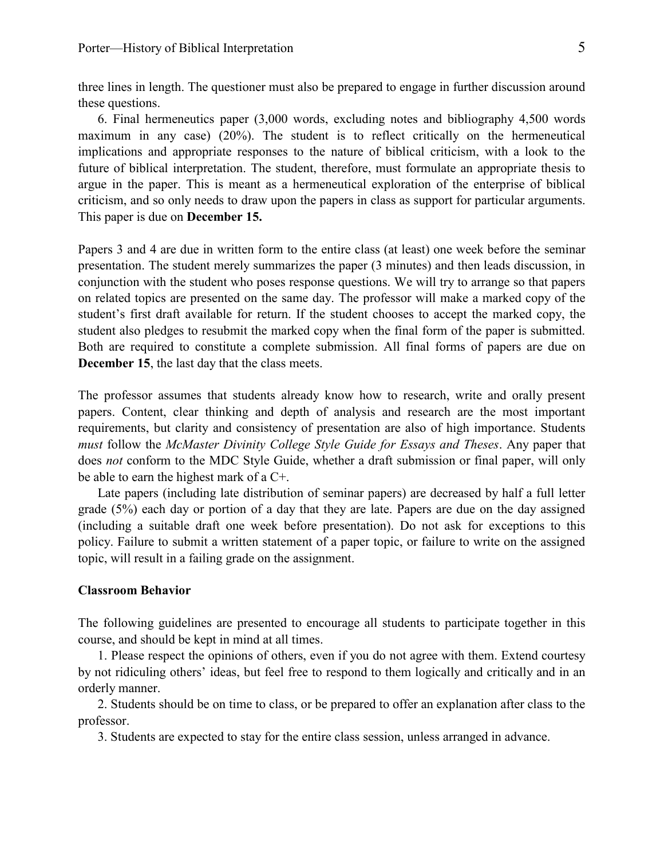three lines in length. The questioner must also be prepared to engage in further discussion around these questions.

6. Final hermeneutics paper (3,000 words, excluding notes and bibliography 4,500 words maximum in any case) (20%). The student is to reflect critically on the hermeneutical implications and appropriate responses to the nature of biblical criticism, with a look to the future of biblical interpretation. The student, therefore, must formulate an appropriate thesis to argue in the paper. This is meant as a hermeneutical exploration of the enterprise of biblical criticism, and so only needs to draw upon the papers in class as support for particular arguments. This paper is due on **December 15.**

Papers 3 and 4 are due in written form to the entire class (at least) one week before the seminar presentation. The student merely summarizes the paper (3 minutes) and then leads discussion, in conjunction with the student who poses response questions. We will try to arrange so that papers on related topics are presented on the same day. The professor will make a marked copy of the student's first draft available for return. If the student chooses to accept the marked copy, the student also pledges to resubmit the marked copy when the final form of the paper is submitted. Both are required to constitute a complete submission. All final forms of papers are due on **December 15**, the last day that the class meets.

The professor assumes that students already know how to research, write and orally present papers. Content, clear thinking and depth of analysis and research are the most important requirements, but clarity and consistency of presentation are also of high importance. Students *must* follow the *McMaster Divinity College Style Guide for Essays and Theses*. Any paper that does *not* conform to the MDC Style Guide, whether a draft submission or final paper, will only be able to earn the highest mark of a C+.

Late papers (including late distribution of seminar papers) are decreased by half a full letter grade (5%) each day or portion of a day that they are late. Papers are due on the day assigned (including a suitable draft one week before presentation). Do not ask for exceptions to this policy. Failure to submit a written statement of a paper topic, or failure to write on the assigned topic, will result in a failing grade on the assignment.

#### **Classroom Behavior**

The following guidelines are presented to encourage all students to participate together in this course, and should be kept in mind at all times.

1. Please respect the opinions of others, even if you do not agree with them. Extend courtesy by not ridiculing others' ideas, but feel free to respond to them logically and critically and in an orderly manner.

2. Students should be on time to class, or be prepared to offer an explanation after class to the professor.

3. Students are expected to stay for the entire class session, unless arranged in advance.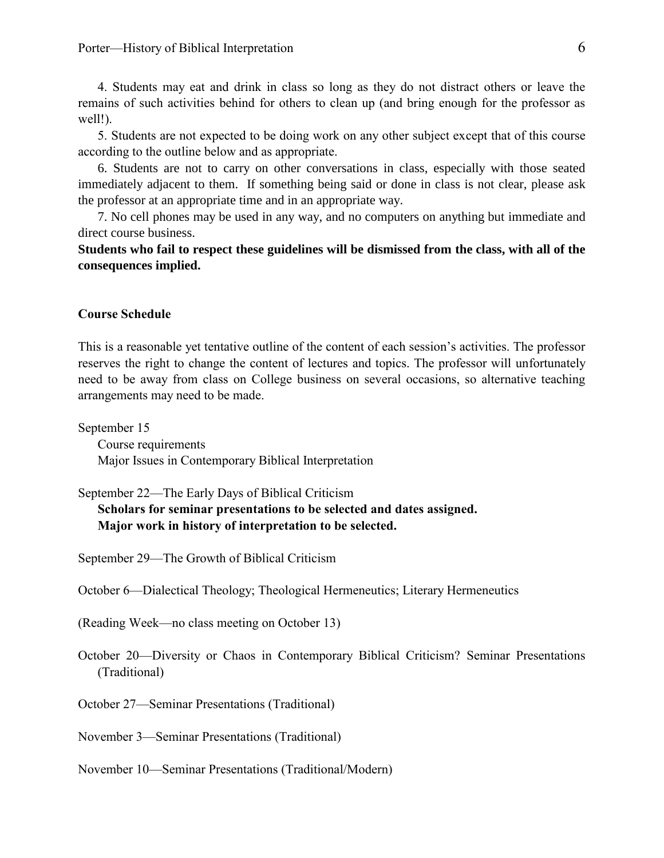4. Students may eat and drink in class so long as they do not distract others or leave the remains of such activities behind for others to clean up (and bring enough for the professor as well!).

5. Students are not expected to be doing work on any other subject except that of this course according to the outline below and as appropriate.

6. Students are not to carry on other conversations in class, especially with those seated immediately adjacent to them. If something being said or done in class is not clear, please ask the professor at an appropriate time and in an appropriate way.

7. No cell phones may be used in any way, and no computers on anything but immediate and direct course business.

**Students who fail to respect these guidelines will be dismissed from the class, with all of the consequences implied.**

#### **Course Schedule**

This is a reasonable yet tentative outline of the content of each session's activities. The professor reserves the right to change the content of lectures and topics. The professor will unfortunately need to be away from class on College business on several occasions, so alternative teaching arrangements may need to be made.

September 15 Course requirements Major Issues in Contemporary Biblical Interpretation

September 22—The Early Days of Biblical Criticism

**Scholars for seminar presentations to be selected and dates assigned. Major work in history of interpretation to be selected.**

September 29—The Growth of Biblical Criticism

October 6—Dialectical Theology; Theological Hermeneutics; Literary Hermeneutics

(Reading Week—no class meeting on October 13)

October 20—Diversity or Chaos in Contemporary Biblical Criticism? Seminar Presentations (Traditional)

October 27—Seminar Presentations (Traditional)

November 3—Seminar Presentations (Traditional)

November 10—Seminar Presentations (Traditional/Modern)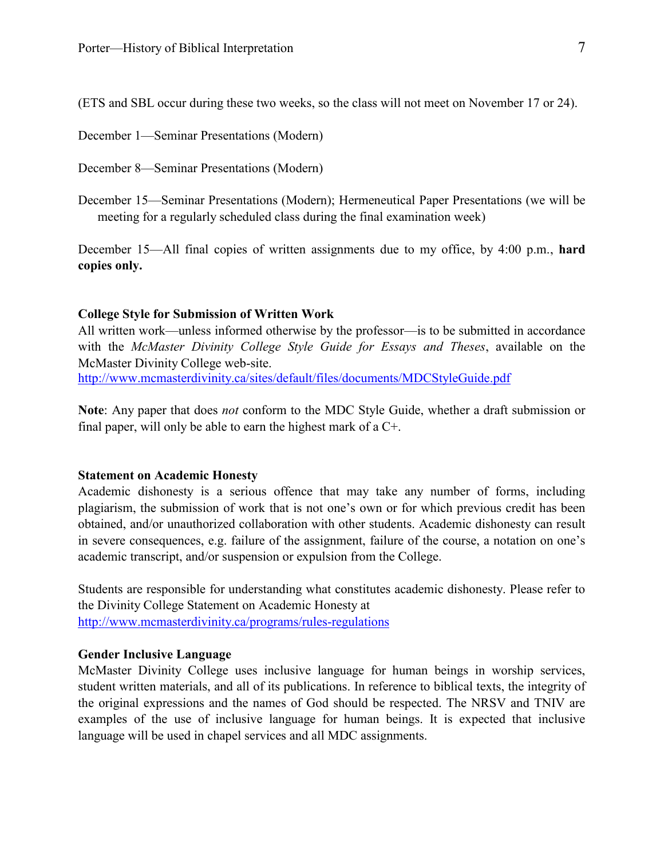(ETS and SBL occur during these two weeks, so the class will not meet on November 17 or 24).

December 1—Seminar Presentations (Modern)

December 8—Seminar Presentations (Modern)

December 15—Seminar Presentations (Modern); Hermeneutical Paper Presentations (we will be meeting for a regularly scheduled class during the final examination week)

December 15—All final copies of written assignments due to my office, by 4:00 p.m., **hard copies only.**

#### **College Style for Submission of Written Work**

All written work—unless informed otherwise by the professor—is to be submitted in accordance with the *McMaster Divinity College Style Guide for Essays and Theses*, available on the McMaster Divinity College web-site. <http://www.mcmasterdivinity.ca/sites/default/files/documents/MDCStyleGuide.pdf>

**Note**: Any paper that does *not* conform to the MDC Style Guide, whether a draft submission or final paper, will only be able to earn the highest mark of a C+.

#### **Statement on Academic Honesty**

Academic dishonesty is a serious offence that may take any number of forms, including plagiarism, the submission of work that is not one's own or for which previous credit has been obtained, and/or unauthorized collaboration with other students. Academic dishonesty can result in severe consequences, e.g. failure of the assignment, failure of the course, a notation on one's academic transcript, and/or suspension or expulsion from the College.

Students are responsible for understanding what constitutes academic dishonesty. Please refer to the Divinity College Statement on Academic Honesty at <http://www.mcmasterdivinity.ca/programs/rules-regulations>

## **Gender Inclusive Language**

McMaster Divinity College uses inclusive language for human beings in worship services, student written materials, and all of its publications. In reference to biblical texts, the integrity of the original expressions and the names of God should be respected. The NRSV and TNIV are examples of the use of inclusive language for human beings. It is expected that inclusive language will be used in chapel services and all MDC assignments.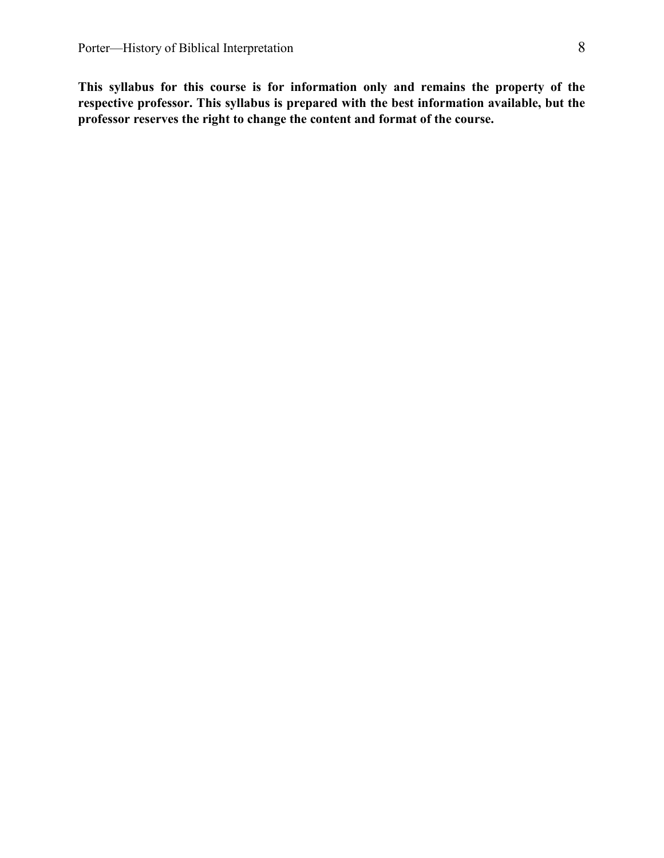**This syllabus for this course is for information only and remains the property of the respective professor. This syllabus is prepared with the best information available, but the professor reserves the right to change the content and format of the course.**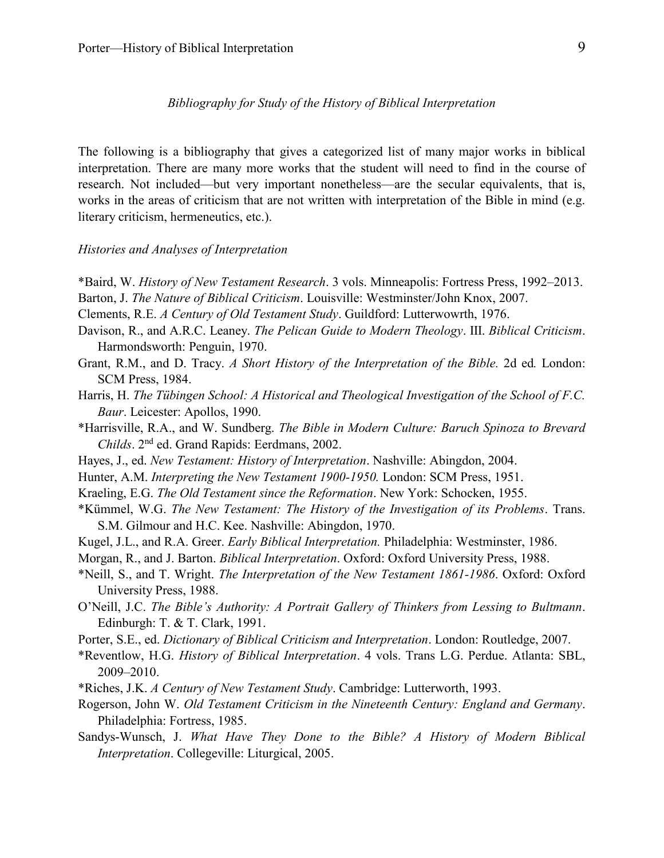#### *Bibliography for Study of the History of Biblical Interpretation*

The following is a bibliography that gives a categorized list of many major works in biblical interpretation. There are many more works that the student will need to find in the course of research. Not included—but very important nonetheless—are the secular equivalents, that is, works in the areas of criticism that are not written with interpretation of the Bible in mind (e.g. literary criticism, hermeneutics, etc.).

#### *Histories and Analyses of Interpretation*

- \*Baird, W. *History of New Testament Research*. 3 vols. Minneapolis: Fortress Press, 1992–2013.
- Barton, J. *The Nature of Biblical Criticism*. Louisville: Westminster/John Knox, 2007.
- Clements, R.E. *A Century of Old Testament Study*. Guildford: Lutterwowrth, 1976.
- Davison, R., and A.R.C. Leaney. *The Pelican Guide to Modern Theology*. III. *Biblical Criticism*. Harmondsworth: Penguin, 1970.
- Grant, R.M., and D. Tracy. *A Short History of the Interpretation of the Bible.* 2d ed*.* London: SCM Press, 1984.
- Harris, H. *The Tübingen School: A Historical and Theological Investigation of the School of F.C. Baur*. Leicester: Apollos, 1990.
- \*Harrisville, R.A., and W. Sundberg. *The Bible in Modern Culture: Baruch Spinoza to Brevard Childs*. 2nd ed. Grand Rapids: Eerdmans, 2002.
- Hayes, J., ed. *New Testament: History of Interpretation*. Nashville: Abingdon, 2004.
- Hunter, A.M. *Interpreting the New Testament 1900-1950.* London: SCM Press, 1951.
- Kraeling, E.G. *The Old Testament since the Reformation*. New York: Schocken, 1955.
- \*Kümmel, W.G. *The New Testament: The History of the Investigation of its Problems*. Trans. S.M. Gilmour and H.C. Kee. Nashville: Abingdon, 1970.
- Kugel, J.L., and R.A. Greer. *Early Biblical Interpretation.* Philadelphia: Westminster, 1986.
- Morgan, R., and J. Barton. *Biblical Interpretation*. Oxford: Oxford University Press, 1988.
- \*Neill, S., and T. Wright. *The Interpretation of the New Testament 1861-1986*. Oxford: Oxford University Press, 1988.
- O'Neill, J.C. *The Bible's Authority: A Portrait Gallery of Thinkers from Lessing to Bultmann*. Edinburgh: T. & T. Clark, 1991.
- Porter, S.E., ed. *Dictionary of Biblical Criticism and Interpretation*. London: Routledge, 2007.
- \*Reventlow, H.G. *History of Biblical Interpretation*. 4 vols. Trans L.G. Perdue. Atlanta: SBL, 2009–2010.
- \*Riches, J.K. *A Century of New Testament Study*. Cambridge: Lutterworth, 1993.
- Rogerson, John W. *Old Testament Criticism in the Nineteenth Century: England and Germany*. Philadelphia: Fortress, 1985.
- Sandys-Wunsch, J. *What Have They Done to the Bible? A History of Modern Biblical Interpretation*. Collegeville: Liturgical, 2005.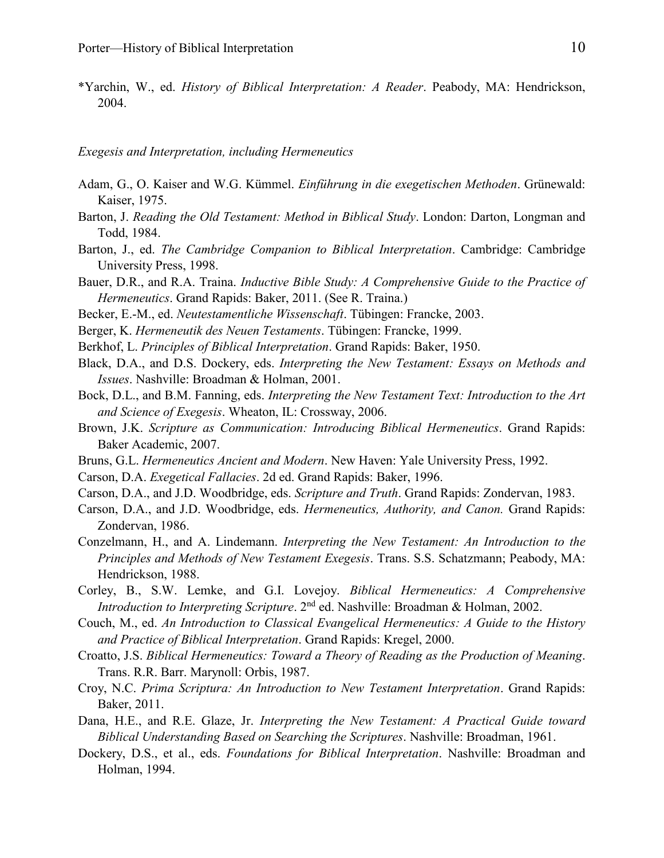\*Yarchin, W., ed. *History of Biblical Interpretation: A Reader*. Peabody, MA: Hendrickson, 2004.

*Exegesis and Interpretation, including Hermeneutics*

- Adam, G., O. Kaiser and W.G. Kümmel. *Einführung in die exegetischen Methoden*. Grünewald: Kaiser, 1975.
- Barton, J. *Reading the Old Testament: Method in Biblical Study*. London: Darton, Longman and Todd, 1984.
- Barton, J., ed. *The Cambridge Companion to Biblical Interpretation*. Cambridge: Cambridge University Press, 1998.
- Bauer, D.R., and R.A. Traina. *Inductive Bible Study: A Comprehensive Guide to the Practice of Hermeneutics*. Grand Rapids: Baker, 2011. (See R. Traina.)
- Becker, E.-M., ed. *Neutestamentliche Wissenschaft*. Tübingen: Francke, 2003.
- Berger, K. *Hermeneutik des Neuen Testaments*. Tübingen: Francke, 1999.
- Berkhof, L. *Principles of Biblical Interpretation*. Grand Rapids: Baker, 1950.
- Black, D.A., and D.S. Dockery, eds. *Interpreting the New Testament: Essays on Methods and Issues*. Nashville: Broadman & Holman, 2001.
- Bock, D.L., and B.M. Fanning, eds. *Interpreting the New Testament Text: Introduction to the Art and Science of Exegesis*. Wheaton, IL: Crossway, 2006.
- Brown, J.K. *Scripture as Communication: Introducing Biblical Hermeneutics*. Grand Rapids: Baker Academic, 2007.
- Bruns, G.L. *Hermeneutics Ancient and Modern*. New Haven: Yale University Press, 1992.
- Carson, D.A. *Exegetical Fallacies*. 2d ed. Grand Rapids: Baker, 1996.
- Carson, D.A., and J.D. Woodbridge, eds. *Scripture and Truth*. Grand Rapids: Zondervan, 1983.
- Carson, D.A., and J.D. Woodbridge, eds. *Hermeneutics, Authority, and Canon.* Grand Rapids: Zondervan, 1986.
- Conzelmann, H., and A. Lindemann. *Interpreting the New Testament: An Introduction to the Principles and Methods of New Testament Exegesis*. Trans. S.S. Schatzmann; Peabody, MA: Hendrickson, 1988.
- Corley, B., S.W. Lemke, and G.I. Lovejoy. *Biblical Hermeneutics: A Comprehensive Introduction to Interpreting Scripture*. 2<sup>nd</sup> ed. Nashville: Broadman & Holman, 2002.
- Couch, M., ed. *An Introduction to Classical Evangelical Hermeneutics: A Guide to the History and Practice of Biblical Interpretation*. Grand Rapids: Kregel, 2000.
- Croatto, J.S. *Biblical Hermeneutics: Toward a Theory of Reading as the Production of Meaning*. Trans. R.R. Barr. Marynoll: Orbis, 1987.
- Croy, N.C. *Prima Scriptura: An Introduction to New Testament Interpretation*. Grand Rapids: Baker, 2011.
- Dana, H.E., and R.E. Glaze, Jr. *Interpreting the New Testament: A Practical Guide toward Biblical Understanding Based on Searching the Scriptures*. Nashville: Broadman, 1961.
- Dockery, D.S., et al., eds. *Foundations for Biblical Interpretation*. Nashville: Broadman and Holman, 1994.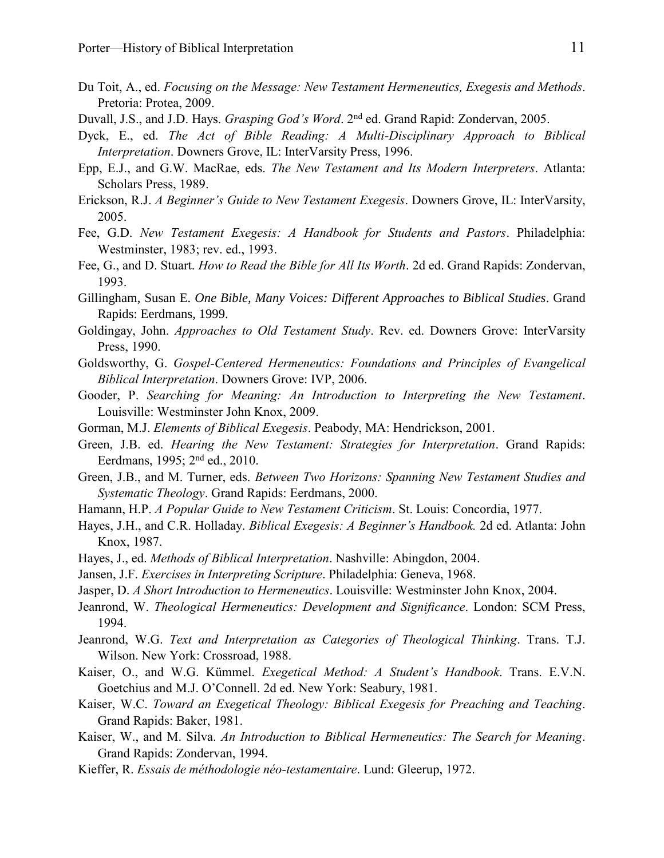- Du Toit, A., ed. *Focusing on the Message: New Testament Hermeneutics, Exegesis and Methods*. Pretoria: Protea, 2009.
- Duvall, J.S., and J.D. Hays. *Grasping God's Word*. 2<sup>nd</sup> ed. Grand Rapid: Zondervan, 2005.
- Dyck, E., ed. *The Act of Bible Reading: A Multi-Disciplinary Approach to Biblical Interpretation*. Downers Grove, IL: InterVarsity Press, 1996.
- Epp, E.J., and G.W. MacRae, eds. *The New Testament and Its Modern Interpreters*. Atlanta: Scholars Press, 1989.
- Erickson, R.J. *A Beginner's Guide to New Testament Exegesis*. Downers Grove, IL: InterVarsity, 2005.
- Fee, G.D. *New Testament Exegesis: A Handbook for Students and Pastors*. Philadelphia: Westminster, 1983; rev. ed., 1993.
- Fee, G., and D. Stuart. *How to Read the Bible for All Its Worth*. 2d ed. Grand Rapids: Zondervan, 1993.
- Gillingham, Susan E. *One Bible, Many Voices: Different Approaches to Biblical Studies*. Grand Rapids: Eerdmans, 1999.
- Goldingay, John. *Approaches to Old Testament Study*. Rev. ed. Downers Grove: InterVarsity Press, 1990.
- Goldsworthy, G. *Gospel-Centered Hermeneutics: Foundations and Principles of Evangelical Biblical Interpretation*. Downers Grove: IVP, 2006.
- Gooder, P. *Searching for Meaning: An Introduction to Interpreting the New Testament*. Louisville: Westminster John Knox, 2009.
- Gorman, M.J. *Elements of Biblical Exegesis*. Peabody, MA: Hendrickson, 2001.
- Green, J.B. ed. *Hearing the New Testament: Strategies for Interpretation*. Grand Rapids: Eerdmans, 1995; 2nd ed., 2010.
- Green, J.B., and M. Turner, eds. *Between Two Horizons: Spanning New Testament Studies and Systematic Theology*. Grand Rapids: Eerdmans, 2000.
- Hamann, H.P. *A Popular Guide to New Testament Criticism*. St. Louis: Concordia, 1977.
- Hayes, J.H., and C.R. Holladay. *Biblical Exegesis: A Beginner's Handbook.* 2d ed. Atlanta: John Knox, 1987.
- Hayes, J., ed. *Methods of Biblical Interpretation*. Nashville: Abingdon, 2004.
- Jansen, J.F. *Exercises in Interpreting Scripture*. Philadelphia: Geneva, 1968.
- Jasper, D. *A Short Introduction to Hermeneutics*. Louisville: Westminster John Knox, 2004.
- Jeanrond, W. *Theological Hermeneutics: Development and Significance*. London: SCM Press, 1994.
- Jeanrond, W.G. *Text and Interpretation as Categories of Theological Thinking*. Trans. T.J. Wilson. New York: Crossroad, 1988.
- Kaiser, O., and W.G. Kümmel. *Exegetical Method: A Student's Handbook*. Trans. E.V.N. Goetchius and M.J. O'Connell. 2d ed. New York: Seabury, 1981.
- Kaiser, W.C. *Toward an Exegetical Theology: Biblical Exegesis for Preaching and Teaching*. Grand Rapids: Baker, 1981.
- Kaiser, W., and M. Silva. *An Introduction to Biblical Hermeneutics: The Search for Meaning*. Grand Rapids: Zondervan, 1994.
- Kieffer, R. *Essais de méthodologie néo-testamentaire*. Lund: Gleerup, 1972.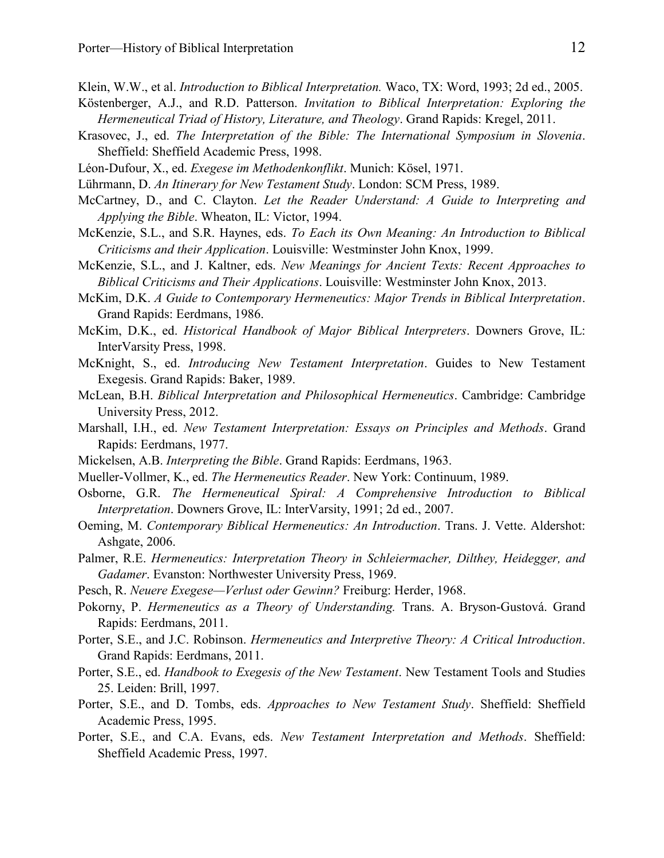Klein, W.W., et al. *Introduction to Biblical Interpretation.* Waco, TX: Word, 1993; 2d ed., 2005.

- Köstenberger, A.J., and R.D. Patterson. *Invitation to Biblical Interpretation: Exploring the Hermeneutical Triad of History, Literature, and Theology*. Grand Rapids: Kregel, 2011.
- Krasovec, J., ed. *The Interpretation of the Bible: The International Symposium in Slovenia*. Sheffield: Sheffield Academic Press, 1998.
- Léon-Dufour, X., ed. *Exegese im Methodenkonflikt*. Munich: Kösel, 1971.
- Lührmann, D. *An Itinerary for New Testament Study*. London: SCM Press, 1989.
- McCartney, D., and C. Clayton. *Let the Reader Understand: A Guide to Interpreting and Applying the Bible*. Wheaton, IL: Victor, 1994.
- McKenzie, S.L., and S.R. Haynes, eds. *To Each its Own Meaning: An Introduction to Biblical Criticisms and their Application*. Louisville: Westminster John Knox, 1999.
- McKenzie, S.L., and J. Kaltner, eds. *New Meanings for Ancient Texts: Recent Approaches to Biblical Criticisms and Their Applications*. Louisville: Westminster John Knox, 2013.
- McKim, D.K. *A Guide to Contemporary Hermeneutics: Major Trends in Biblical Interpretation*. Grand Rapids: Eerdmans, 1986.
- McKim, D.K., ed. *Historical Handbook of Major Biblical Interpreters*. Downers Grove, IL: InterVarsity Press, 1998.
- McKnight, S., ed. *Introducing New Testament Interpretation*. Guides to New Testament Exegesis. Grand Rapids: Baker, 1989.
- McLean, B.H. *Biblical Interpretation and Philosophical Hermeneutics*. Cambridge: Cambridge University Press, 2012.
- Marshall, I.H., ed. *New Testament Interpretation: Essays on Principles and Methods*. Grand Rapids: Eerdmans, 1977.
- Mickelsen, A.B. *Interpreting the Bible*. Grand Rapids: Eerdmans, 1963.
- Mueller-Vollmer, K., ed. *The Hermeneutics Reader*. New York: Continuum, 1989.
- Osborne, G.R. *The Hermeneutical Spiral: A Comprehensive Introduction to Biblical Interpretation*. Downers Grove, IL: InterVarsity, 1991; 2d ed., 2007.
- Oeming, M. *Contemporary Biblical Hermeneutics: An Introduction*. Trans. J. Vette. Aldershot: Ashgate, 2006.
- Palmer, R.E. *Hermeneutics: Interpretation Theory in Schleiermacher, Dilthey, Heidegger, and Gadamer*. Evanston: Northwester University Press, 1969.
- Pesch, R. *Neuere Exegese—Verlust oder Gewinn?* Freiburg: Herder, 1968.
- Pokorny, P. *Hermeneutics as a Theory of Understanding.* Trans. A. Bryson-Gustová. Grand Rapids: Eerdmans, 2011.
- Porter, S.E., and J.C. Robinson. *Hermeneutics and Interpretive Theory: A Critical Introduction*. Grand Rapids: Eerdmans, 2011.
- Porter, S.E., ed. *Handbook to Exegesis of the New Testament*. New Testament Tools and Studies 25. Leiden: Brill, 1997.
- Porter, S.E., and D. Tombs, eds. *Approaches to New Testament Study*. Sheffield: Sheffield Academic Press, 1995.
- Porter, S.E., and C.A. Evans, eds. *New Testament Interpretation and Methods*. Sheffield: Sheffield Academic Press, 1997.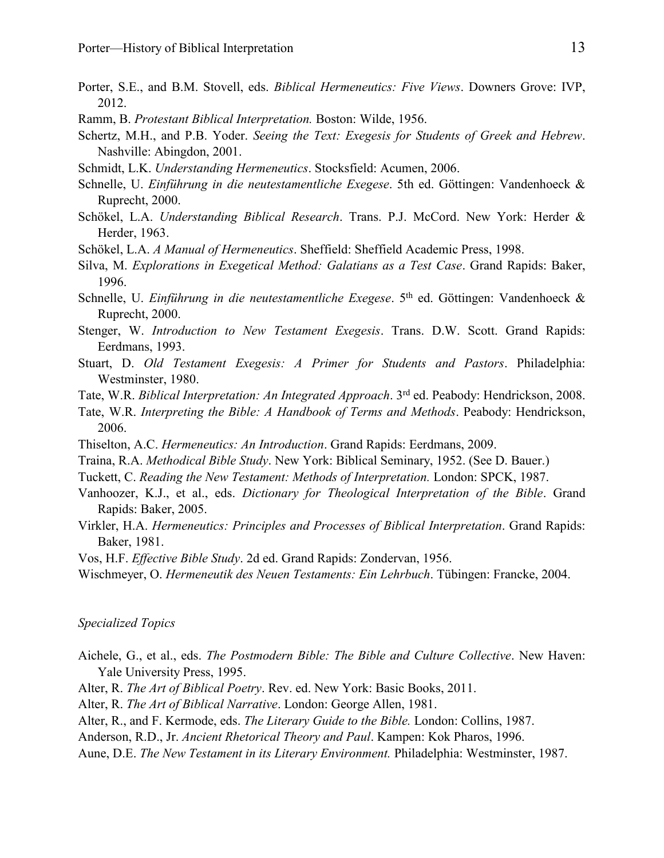- Porter, S.E., and B.M. Stovell, eds. *Biblical Hermeneutics: Five Views*. Downers Grove: IVP, 2012.
- Ramm, B. *Protestant Biblical Interpretation.* Boston: Wilde, 1956.
- Schertz, M.H., and P.B. Yoder. *Seeing the Text: Exegesis for Students of Greek and Hebrew*. Nashville: Abingdon, 2001.
- Schmidt, L.K. *Understanding Hermeneutics*. Stocksfield: Acumen, 2006.
- Schnelle, U. *Einführung in die neutestamentliche Exegese*. 5th ed. Göttingen: Vandenhoeck & Ruprecht, 2000.
- Schökel, L.A. *Understanding Biblical Research*. Trans. P.J. McCord. New York: Herder & Herder, 1963.
- Schökel, L.A. *A Manual of Hermeneutics*. Sheffield: Sheffield Academic Press, 1998.
- Silva, M. *Explorations in Exegetical Method: Galatians as a Test Case*. Grand Rapids: Baker, 1996.
- Schnelle, U. *Einführung in die neutestamentliche Exegese*. 5th ed. Göttingen: Vandenhoeck & Ruprecht, 2000.
- Stenger, W. *Introduction to New Testament Exegesis*. Trans. D.W. Scott. Grand Rapids: Eerdmans, 1993.
- Stuart, D. *Old Testament Exegesis: A Primer for Students and Pastors*. Philadelphia: Westminster, 1980.
- Tate, W.R. *Biblical Interpretation: An Integrated Approach*. 3rd ed. Peabody: Hendrickson, 2008.
- Tate, W.R. *Interpreting the Bible: A Handbook of Terms and Methods*. Peabody: Hendrickson, 2006.
- Thiselton, A.C. *Hermeneutics: An Introduction*. Grand Rapids: Eerdmans, 2009.
- Traina, R.A. *Methodical Bible Study*. New York: Biblical Seminary, 1952. (See D. Bauer.)
- Tuckett, C. *Reading the New Testament: Methods of Interpretation.* London: SPCK, 1987.
- Vanhoozer, K.J., et al., eds. *Dictionary for Theological Interpretation of the Bible*. Grand Rapids: Baker, 2005.
- Virkler, H.A. *Hermeneutics: Principles and Processes of Biblical Interpretation*. Grand Rapids: Baker, 1981.
- Vos, H.F. *Effective Bible Study*. 2d ed. Grand Rapids: Zondervan, 1956.
- Wischmeyer, O. *Hermeneutik des Neuen Testaments: Ein Lehrbuch*. Tübingen: Francke, 2004.

## *Specialized Topics*

- Aichele, G., et al., eds. *The Postmodern Bible: The Bible and Culture Collective*. New Haven: Yale University Press, 1995.
- Alter, R. *The Art of Biblical Poetry*. Rev. ed. New York: Basic Books, 2011.
- Alter, R. *The Art of Biblical Narrative*. London: George Allen, 1981.
- Alter, R., and F. Kermode, eds. *The Literary Guide to the Bible.* London: Collins, 1987.
- Anderson, R.D., Jr. *Ancient Rhetorical Theory and Paul*. Kampen: Kok Pharos, 1996.
- Aune, D.E. *The New Testament in its Literary Environment.* Philadelphia: Westminster, 1987.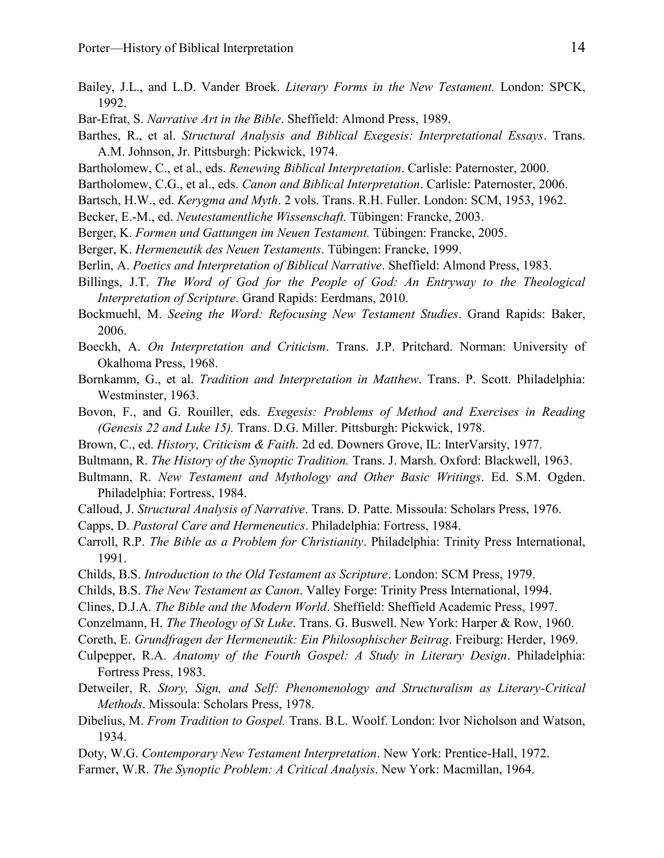- Bailey, J.L., and L.D. Vander Broek. *Literary Forms in the New Testament.* London: SPCK, 1992.
- Bar-Efrat, S. *Narrative Art in the Bible*. Sheffield: Almond Press, 1989.
- Barthes, R., et al. *Structural Analysis and Biblical Exegesis: Interpretational Essays*. Trans. A.M. Johnson, Jr. Pittsburgh: Pickwick, 1974.
- Bartholomew, C., et al., eds. *Renewing Biblical Interpretation*. Carlisle: Paternoster, 2000.
- Bartholomew, C.G., et al., eds. *Canon and Biblical Interpretation*. Carlisle: Paternoster, 2006.
- Bartsch, H.W., ed. *Kerygma and Myth*. 2 vols. Trans. R.H. Fuller. London: SCM, 1953, 1962.
- Becker, E.-M., ed. *Neutestamentliche Wissenschaft.* Tübingen: Francke, 2003.
- Berger, K. *Formen und Gattungen im Neuen Testament.* Tübingen: Francke, 2005.
- Berger, K. *Hermeneutik des Neuen Testaments*. Tübingen: Francke, 1999.
- Berlin, A. *Poetics and Interpretation of Biblical Narrative*. Sheffield: Almond Press, 1983.
- Billings, J.T. *The Word of God for the People of God: An Entryway to the Theological Interpretation of Scripture*. Grand Rapids: Eerdmans, 2010.
- Bockmuehl, M. *Seeing the Word: Refocusing New Testament Studies*. Grand Rapids: Baker, 2006.
- Boeckh, A. *On Interpretation and Criticism*. Trans. J.P. Pritchard. Norman: University of Okalhoma Press, 1968.
- Bornkamm, G., et al. *Tradition and Interpretation in Matthew*. Trans. P. Scott. Philadelphia: Westminster, 1963.
- Bovon, F., and G. Rouiller, eds. *Exegesis: Problems of Method and Exercises in Reading (Genesis 22 and Luke 15).* Trans. D.G. Miller. Pittsburgh: Pickwick, 1978.
- Brown, C., ed. *History, Criticism & Faith*. 2d ed. Downers Grove, IL: InterVarsity, 1977.
- Bultmann, R. *The History of the Synoptic Tradition.* Trans. J. Marsh. Oxford: Blackwell, 1963.
- Bultmann, R. *New Testament and Mythology and Other Basic Writings*. Ed. S.M. Ogden. Philadelphia: Fortress, 1984.
- Calloud, J. *Structural Analysis of Narrative*. Trans. D. Patte. Missoula: Scholars Press, 1976.
- Capps, D. *Pastoral Care and Hermeneutics*. Philadelphia: Fortress, 1984.
- Carroll, R.P. *The Bible as a Problem for Christianity*. Philadelphia: Trinity Press International, 1991.
- Childs, B.S. *Introduction to the Old Testament as Scripture*. London: SCM Press, 1979.
- Childs, B.S. *The New Testament as Canon*. Valley Forge: Trinity Press International, 1994.
- Clines, D.J.A. *The Bible and the Modern World*. Sheffield: Sheffield Academic Press, 1997.
- Conzelmann, H. *The Theology of St Luke*. Trans. G. Buswell. New York: Harper & Row, 1960.
- Coreth, E. *Grundfragen der Hermeneutik: Ein Philosophischer Beitrag*. Freiburg: Herder, 1969.
- Culpepper, R.A. *Anatomy of the Fourth Gospel: A Study in Literary Design*. Philadelphia: Fortress Press, 1983.
- Detweiler, R. *Story, Sign, and Self: Phenomenology and Structuralism as Literary-Critical Methods*. Missoula: Scholars Press, 1978.
- Dibelius, M. *From Tradition to Gospel.* Trans. B.L. Woolf. London: Ivor Nicholson and Watson, 1934.
- Doty, W.G. *Contemporary New Testament Interpretation*. New York: Prentice-Hall, 1972.
- Farmer, W.R. *The Synoptic Problem: A Critical Analysis*. New York: Macmillan, 1964.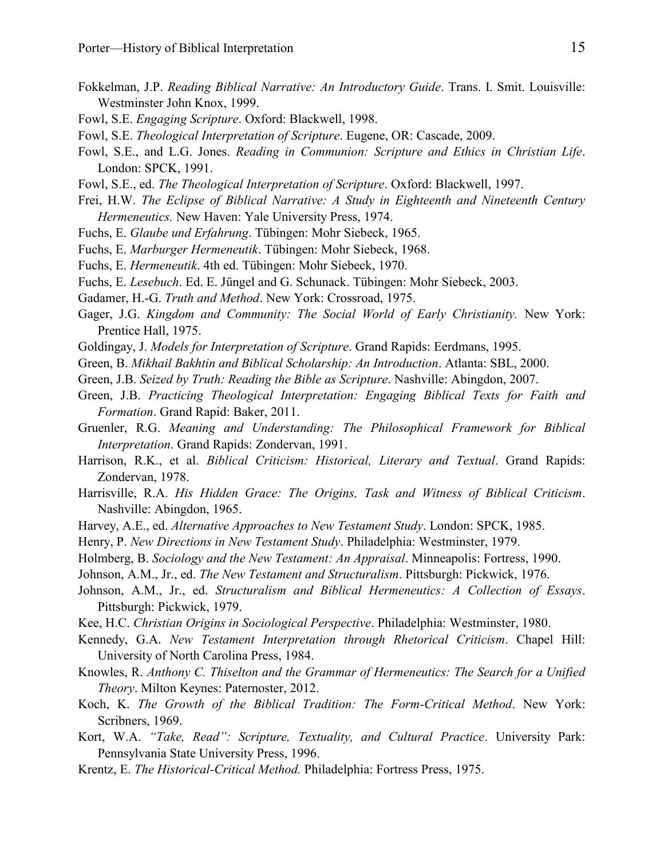- Fokkelman, J.P. *Reading Biblical Narrative: An Introductory Guide*. Trans. I. Smit. Louisville: Westminster John Knox, 1999.
- Fowl, S.E. *Engaging Scripture*. Oxford: Blackwell, 1998.
- Fowl, S.E. *Theological Interpretation of Scripture*. Eugene, OR: Cascade, 2009.
- Fowl, S.E., and L.G. Jones. *Reading in Communion: Scripture and Ethics in Christian Life*. London: SPCK, 1991.
- Fowl, S.E., ed. *The Theological Interpretation of Scripture*. Oxford: Blackwell, 1997.
- Frei, H.W. *The Eclipse of Biblical Narrative: A Study in Eighteenth and Nineteenth Century Hermeneutics.* New Haven: Yale University Press, 1974.
- Fuchs, E. *Glaube und Erfahrung*. Tübingen: Mohr Siebeck, 1965.
- Fuchs, E. *Marburger Hermeneutik*. Tübingen: Mohr Siebeck, 1968.
- Fuchs, E. *Hermeneutik*. 4th ed. Tübingen: Mohr Siebeck, 1970.
- Fuchs, E. *Lesebuch*. Ed. E. Jüngel and G. Schunack. Tübingen: Mohr Siebeck, 2003.
- Gadamer, H.-G. *Truth and Method*. New York: Crossroad, 1975.
- Gager, J.G. *Kingdom and Community: The Social World of Early Christianity.* New York: Prentice Hall, 1975.
- Goldingay, J. *Models for Interpretation of Scripture*. Grand Rapids: Eerdmans, 1995.
- Green, B. *Mikhail Bakhtin and Biblical Scholarship: An Introduction*. Atlanta: SBL, 2000.
- Green, J.B. *Seized by Truth: Reading the Bible as Scripture*. Nashville: Abingdon, 2007.
- Green, J.B. *Practicing Theological Interpretation: Engaging Biblical Texts for Faith and Formation*. Grand Rapid: Baker, 2011.
- Gruenler, R.G. *Meaning and Understanding: The Philosophical Framework for Biblical Interpretation*. Grand Rapids: Zondervan, 1991.
- Harrison, R.K., et al. *Biblical Criticism: Historical, Literary and Textual*. Grand Rapids: Zondervan, 1978.
- Harrisville, R.A. *His Hidden Grace: The Origins, Task and Witness of Biblical Criticism*. Nashville: Abingdon, 1965.
- Harvey, A.E., ed. *Alternative Approaches to New Testament Study*. London: SPCK, 1985.
- Henry, P. *New Directions in New Testament Study*. Philadelphia: Westminster, 1979.
- Holmberg, B. *Sociology and the New Testament: An Appraisal*. Minneapolis: Fortress, 1990.
- Johnson, A.M., Jr., ed. *The New Testament and Structuralism*. Pittsburgh: Pickwick, 1976.
- Johnson, A.M., Jr., ed. *Structuralism and Biblical Hermeneutics: A Collection of Essays*. Pittsburgh: Pickwick, 1979.
- Kee, H.C. *Christian Origins in Sociological Perspective*. Philadelphia: Westminster, 1980.
- Kennedy, G.A. *New Testament Interpretation through Rhetorical Criticism*. Chapel Hill: University of North Carolina Press, 1984.
- Knowles, R. *Anthony C. Thiselton and the Grammar of Hermeneutics: The Search for a Unified Theory*. Milton Keynes: Paternoster, 2012.
- Koch, K. *The Growth of the Biblical Tradition: The Form-Critical Method*. New York: Scribners, 1969.
- Kort, W.A. *"Take, Read": Scripture, Textuality, and Cultural Practice*. University Park: Pennsylvania State University Press, 1996.
- Krentz, E. *The Historical-Critical Method.* Philadelphia: Fortress Press, 1975.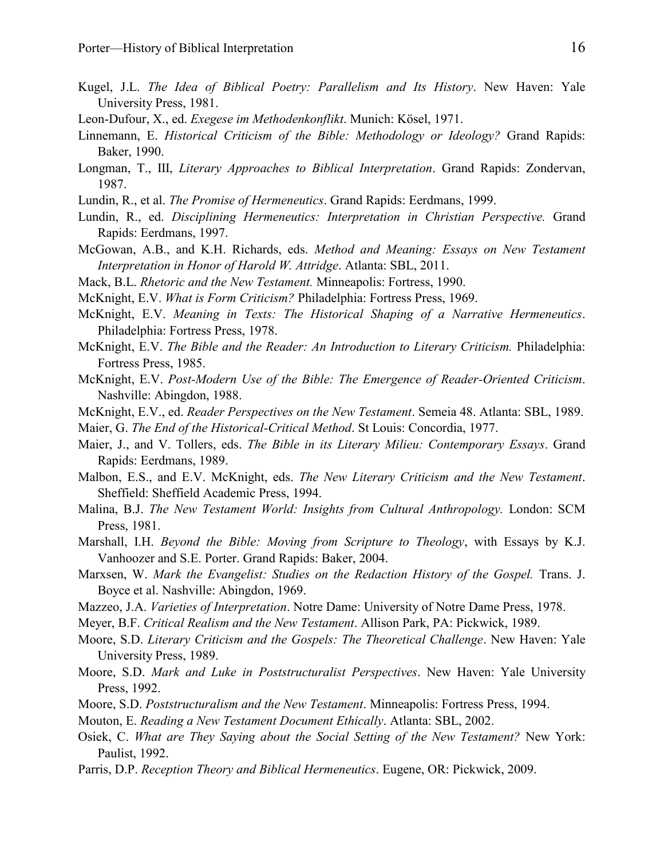- Kugel, J.L. *The Idea of Biblical Poetry: Parallelism and Its History*. New Haven: Yale University Press, 1981.
- Leon-Dufour, X., ed. *Exegese im Methodenkonflikt*. Munich: Kösel, 1971.
- Linnemann, E. *Historical Criticism of the Bible: Methodology or Ideology?* Grand Rapids: Baker, 1990.
- Longman, T., III, *Literary Approaches to Biblical Interpretation*. Grand Rapids: Zondervan, 1987.
- Lundin, R., et al. *The Promise of Hermeneutics*. Grand Rapids: Eerdmans, 1999.
- Lundin, R., ed. *Disciplining Hermeneutics: Interpretation in Christian Perspective.* Grand Rapids: Eerdmans, 1997.
- McGowan, A.B., and K.H. Richards, eds. *Method and Meaning: Essays on New Testament Interpretation in Honor of Harold W. Attridge*. Atlanta: SBL, 2011.
- Mack, B.L. *Rhetoric and the New Testament.* Minneapolis: Fortress, 1990.
- McKnight, E.V. *What is Form Criticism?* Philadelphia: Fortress Press, 1969.
- McKnight, E.V. *Meaning in Texts: The Historical Shaping of a Narrative Hermeneutics*. Philadelphia: Fortress Press, 1978.
- McKnight, E.V. *The Bible and the Reader: An Introduction to Literary Criticism.* Philadelphia: Fortress Press, 1985.
- McKnight, E.V. *Post-Modern Use of the Bible: The Emergence of Reader-Oriented Criticism*. Nashville: Abingdon, 1988.
- McKnight, E.V., ed. *Reader Perspectives on the New Testament*. Semeia 48. Atlanta: SBL, 1989.
- Maier, G. *The End of the Historical-Critical Method*. St Louis: Concordia, 1977.
- Maier, J., and V. Tollers, eds. *The Bible in its Literary Milieu: Contemporary Essays*. Grand Rapids: Eerdmans, 1989.
- Malbon, E.S., and E.V. McKnight, eds. *The New Literary Criticism and the New Testament*. Sheffield: Sheffield Academic Press, 1994.
- Malina, B.J. *The New Testament World: Insights from Cultural Anthropology.* London: SCM Press, 1981.
- Marshall, I.H. *Beyond the Bible: Moving from Scripture to Theology*, with Essays by K.J. Vanhoozer and S.E. Porter. Grand Rapids: Baker, 2004.
- Marxsen, W. *Mark the Evangelist: Studies on the Redaction History of the Gospel.* Trans. J. Boyce et al. Nashville: Abingdon, 1969.
- Mazzeo, J.A. *Varieties of Interpretation*. Notre Dame: University of Notre Dame Press, 1978.
- Meyer, B.F. *Critical Realism and the New Testament*. Allison Park, PA: Pickwick, 1989.
- Moore, S.D. *Literary Criticism and the Gospels: The Theoretical Challenge*. New Haven: Yale University Press, 1989.
- Moore, S.D. *Mark and Luke in Poststructuralist Perspectives*. New Haven: Yale University Press, 1992.
- Moore, S.D. *Poststructuralism and the New Testament*. Minneapolis: Fortress Press, 1994.
- Mouton, E. *Reading a New Testament Document Ethically*. Atlanta: SBL, 2002.
- Osiek, C. *What are They Saying about the Social Setting of the New Testament?* New York: Paulist, 1992.
- Parris, D.P. *Reception Theory and Biblical Hermeneutics*. Eugene, OR: Pickwick, 2009.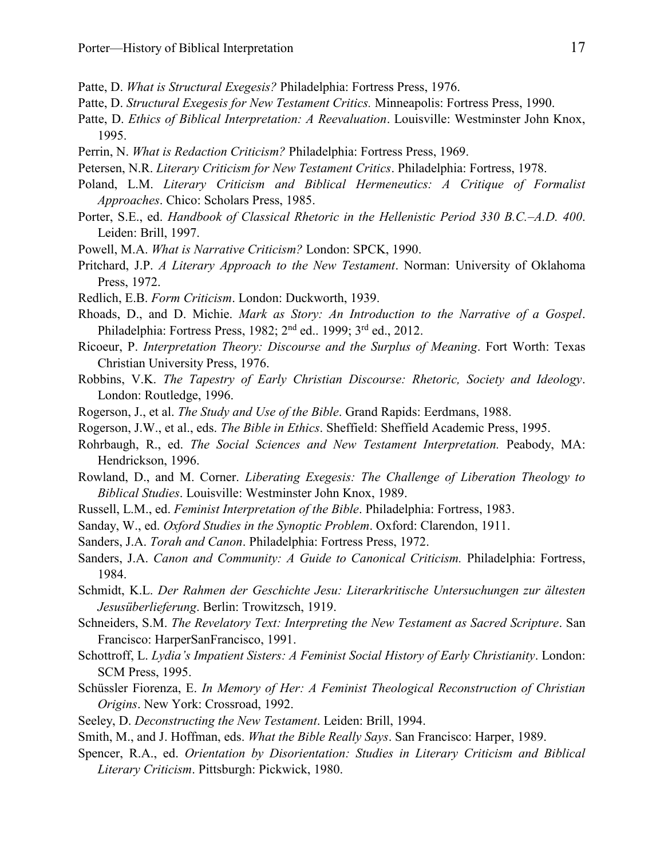- Patte, D. *What is Structural Exegesis?* Philadelphia: Fortress Press, 1976.
- Patte, D. *Structural Exegesis for New Testament Critics.* Minneapolis: Fortress Press, 1990.
- Patte, D. *Ethics of Biblical Interpretation: A Reevaluation*. Louisville: Westminster John Knox, 1995.
- Perrin, N. *What is Redaction Criticism?* Philadelphia: Fortress Press, 1969.
- Petersen, N.R. *Literary Criticism for New Testament Critics*. Philadelphia: Fortress, 1978.
- Poland, L.M. *Literary Criticism and Biblical Hermeneutics: A Critique of Formalist Approaches*. Chico: Scholars Press, 1985.
- Porter, S.E., ed. *Handbook of Classical Rhetoric in the Hellenistic Period 330 B.C.–A.D. 400*. Leiden: Brill, 1997.
- Powell, M.A. *What is Narrative Criticism?* London: SPCK, 1990.
- Pritchard, J.P. *A Literary Approach to the New Testament*. Norman: University of Oklahoma Press, 1972.
- Redlich, E.B. *Form Criticism*. London: Duckworth, 1939.
- Rhoads, D., and D. Michie. *Mark as Story: An Introduction to the Narrative of a Gospel*. Philadelphia: Fortress Press, 1982; 2<sup>nd</sup> ed., 1999; 3<sup>rd</sup> ed., 2012.
- Ricoeur, P. *Interpretation Theory: Discourse and the Surplus of Meaning*. Fort Worth: Texas Christian University Press, 1976.
- Robbins, V.K. *The Tapestry of Early Christian Discourse: Rhetoric, Society and Ideology*. London: Routledge, 1996.
- Rogerson, J., et al. *The Study and Use of the Bible*. Grand Rapids: Eerdmans, 1988.
- Rogerson, J.W., et al., eds. *The Bible in Ethics*. Sheffield: Sheffield Academic Press, 1995.
- Rohrbaugh, R., ed. *The Social Sciences and New Testament Interpretation.* Peabody, MA: Hendrickson, 1996.
- Rowland, D., and M. Corner. *Liberating Exegesis: The Challenge of Liberation Theology to Biblical Studies*. Louisville: Westminster John Knox, 1989.
- Russell, L.M., ed. *Feminist Interpretation of the Bible*. Philadelphia: Fortress, 1983.
- Sanday, W., ed. *Oxford Studies in the Synoptic Problem*. Oxford: Clarendon, 1911.
- Sanders, J.A. *Torah and Canon*. Philadelphia: Fortress Press, 1972.
- Sanders, J.A. *Canon and Community: A Guide to Canonical Criticism*. Philadelphia: Fortress, 1984.
- Schmidt, K.L. *Der Rahmen der Geschichte Jesu: Literarkritische Untersuchungen zur ältesten Jesusüberlieferung*. Berlin: Trowitzsch, 1919.
- Schneiders, S.M. *The Revelatory Text: Interpreting the New Testament as Sacred Scripture*. San Francisco: HarperSanFrancisco, 1991.
- Schottroff, L. *Lydia's Impatient Sisters: A Feminist Social History of Early Christianity*. London: SCM Press, 1995.
- Schüssler Fiorenza, E. *In Memory of Her: A Feminist Theological Reconstruction of Christian Origins*. New York: Crossroad, 1992.
- Seeley, D. *Deconstructing the New Testament*. Leiden: Brill, 1994.
- Smith, M., and J. Hoffman, eds. *What the Bible Really Says*. San Francisco: Harper, 1989.
- Spencer, R.A., ed. *Orientation by Disorientation: Studies in Literary Criticism and Biblical Literary Criticism*. Pittsburgh: Pickwick, 1980.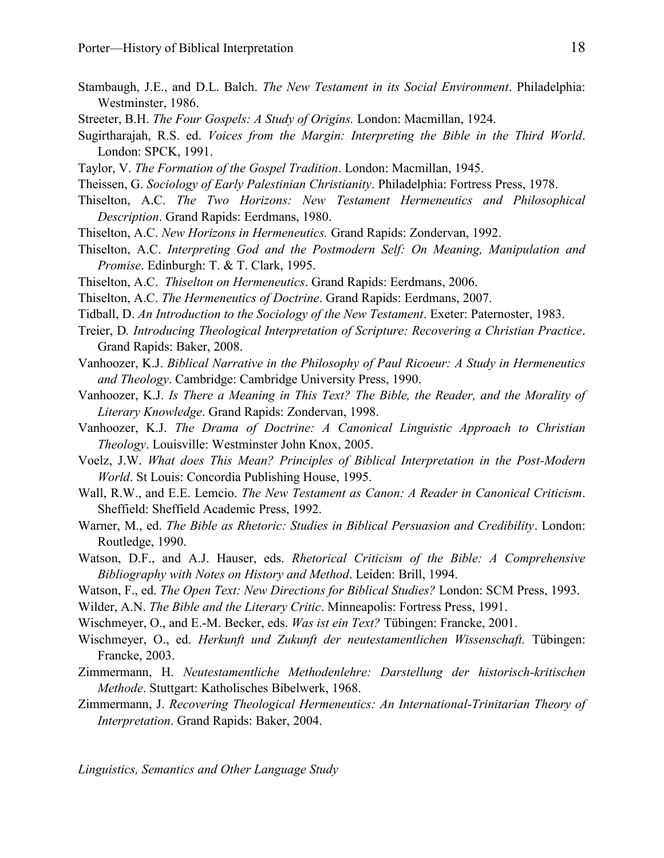- Stambaugh, J.E., and D.L. Balch. *The New Testament in its Social Environment*. Philadelphia: Westminster, 1986.
- Streeter, B.H. *The Four Gospels: A Study of Origins.* London: Macmillan, 1924.
- Sugirtharajah, R.S. ed. *Voices from the Margin: Interpreting the Bible in the Third World*. London: SPCK, 1991.
- Taylor, V. *The Formation of the Gospel Tradition*. London: Macmillan, 1945.
- Theissen, G. *Sociology of Early Palestinian Christianity*. Philadelphia: Fortress Press, 1978.
- Thiselton, A.C. *The Two Horizons: New Testament Hermeneutics and Philosophical Description*. Grand Rapids: Eerdmans, 1980.
- Thiselton, A.C. *New Horizons in Hermeneutics.* Grand Rapids: Zondervan, 1992.
- Thiselton, A.C. *Interpreting God and the Postmodern Self: On Meaning, Manipulation and Promise*. Edinburgh: T. & T. Clark, 1995.
- Thiselton, A.C. *Thiselton on Hermeneutics*. Grand Rapids: Eerdmans, 2006.
- Thiselton, A.C. *The Hermeneutics of Doctrine*. Grand Rapids: Eerdmans, 2007.
- Tidball, D. *An Introduction to the Sociology of the New Testament*. Exeter: Paternoster, 1983.
- Treier, D*. Introducing Theological Interpretation of Scripture: Recovering a Christian Practice*. Grand Rapids: Baker, 2008.
- Vanhoozer, K.J. *Biblical Narrative in the Philosophy of Paul Ricoeur: A Study in Hermeneutics and Theology*. Cambridge: Cambridge University Press, 1990.
- Vanhoozer, K.J. *Is There a Meaning in This Text? The Bible, the Reader, and the Morality of Literary Knowledge*. Grand Rapids: Zondervan, 1998.
- Vanhoozer, K.J. *The Drama of Doctrine: A Canonical Linguistic Approach to Christian Theology*. Louisville: Westminster John Knox, 2005.
- Voelz, J.W. *What does This Mean? Principles of Biblical Interpretation in the Post-Modern World*. St Louis: Concordia Publishing House, 1995.
- Wall, R.W., and E.E. Lemcio. *The New Testament as Canon: A Reader in Canonical Criticism*. Sheffield: Sheffield Academic Press, 1992.
- Warner, M., ed. *The Bible as Rhetoric: Studies in Biblical Persuasion and Credibility*. London: Routledge, 1990.
- Watson, D.F., and A.J. Hauser, eds. *Rhetorical Criticism of the Bible: A Comprehensive Bibliography with Notes on History and Method*. Leiden: Brill, 1994.
- Watson, F., ed. *The Open Text: New Directions for Biblical Studies?* London: SCM Press, 1993.
- Wilder, A.N. *The Bible and the Literary Critic*. Minneapolis: Fortress Press, 1991.
- Wischmeyer, O., and E.-M. Becker, eds. *Was ist ein Text?* Tübingen: Francke, 2001.
- Wischmeyer, O., ed. *Herkunft und Zukunft der neutestamentlichen Wissenschaft.* Tübingen: Francke, 2003.
- Zimmermann, H. *Neutestamentliche Methodenlehre: Darstellung der historisch-kritischen Methode*. Stuttgart: Katholisches Bibelwerk, 1968.
- Zimmermann, J. *Recovering Theological Hermeneutics: An International-Trinitarian Theory of Interpretation*. Grand Rapids: Baker, 2004.

*Linguistics, Semantics and Other Language Study*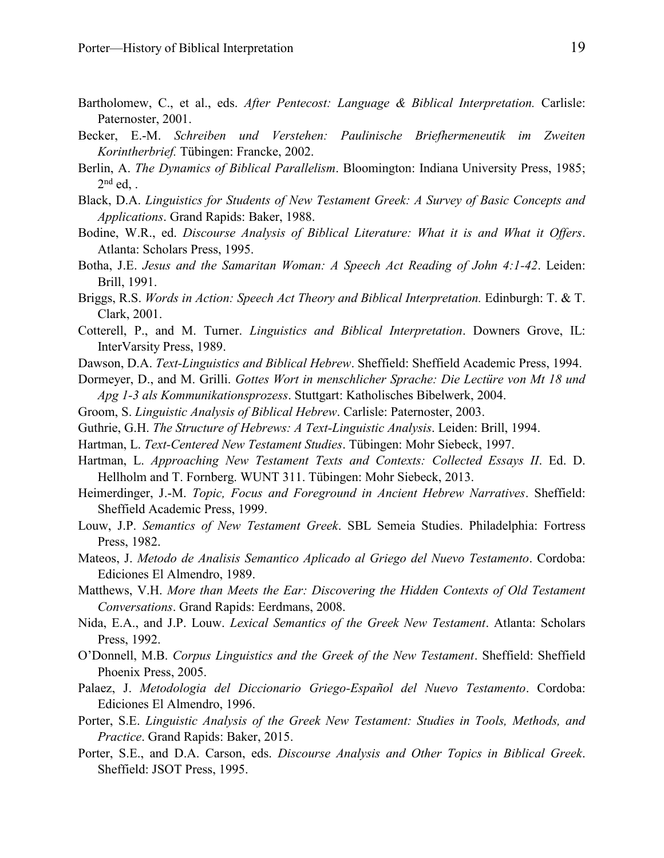- Bartholomew, C., et al., eds. *After Pentecost: Language & Biblical Interpretation*. Carlisle: Paternoster, 2001.
- Becker, E.-M. *Schreiben und Verstehen: Paulinische Briefhermeneutik im Zweiten Korintherbrief.* Tübingen: Francke, 2002.
- Berlin, A. *The Dynamics of Biblical Parallelism*. Bloomington: Indiana University Press, 1985;  $2<sup>nd</sup>$  ed, .
- Black, D.A. *Linguistics for Students of New Testament Greek: A Survey of Basic Concepts and Applications*. Grand Rapids: Baker, 1988.
- Bodine, W.R., ed. *Discourse Analysis of Biblical Literature: What it is and What it Offers*. Atlanta: Scholars Press, 1995.
- Botha, J.E. *Jesus and the Samaritan Woman: A Speech Act Reading of John 4:1-42*. Leiden: Brill, 1991.
- Briggs, R.S. *Words in Action: Speech Act Theory and Biblical Interpretation.* Edinburgh: T. & T. Clark, 2001.
- Cotterell, P., and M. Turner. *Linguistics and Biblical Interpretation*. Downers Grove, IL: InterVarsity Press, 1989.
- Dawson, D.A. *Text-Linguistics and Biblical Hebrew*. Sheffield: Sheffield Academic Press, 1994.
- Dormeyer, D., and M. Grilli. *Gottes Wort in menschlicher Sprache: Die Lectüre von Mt 18 und Apg 1-3 als Kommunikationsprozess*. Stuttgart: Katholisches Bibelwerk, 2004.
- Groom, S. *Linguistic Analysis of Biblical Hebrew*. Carlisle: Paternoster, 2003.
- Guthrie, G.H. *The Structure of Hebrews: A Text-Linguistic Analysis*. Leiden: Brill, 1994.
- Hartman, L. *Text-Centered New Testament Studies*. Tübingen: Mohr Siebeck, 1997.
- Hartman, L. *Approaching New Testament Texts and Contexts: Collected Essays II*. Ed. D. Hellholm and T. Fornberg. WUNT 311. Tübingen: Mohr Siebeck, 2013.
- Heimerdinger, J.-M. *Topic, Focus and Foreground in Ancient Hebrew Narratives*. Sheffield: Sheffield Academic Press, 1999.
- Louw, J.P. *Semantics of New Testament Greek*. SBL Semeia Studies. Philadelphia: Fortress Press, 1982.
- Mateos, J. *Metodo de Analisis Semantico Aplicado al Griego del Nuevo Testamento*. Cordoba: Ediciones El Almendro, 1989.
- Matthews, V.H. *More than Meets the Ear: Discovering the Hidden Contexts of Old Testament Conversations*. Grand Rapids: Eerdmans, 2008.
- Nida, E.A., and J.P. Louw. *Lexical Semantics of the Greek New Testament*. Atlanta: Scholars Press, 1992.
- O'Donnell, M.B. *Corpus Linguistics and the Greek of the New Testament*. Sheffield: Sheffield Phoenix Press, 2005.
- Palaez, J. *Metodologia del Diccionario Griego-Español del Nuevo Testamento*. Cordoba: Ediciones El Almendro, 1996.
- Porter, S.E. *Linguistic Analysis of the Greek New Testament: Studies in Tools, Methods, and Practice*. Grand Rapids: Baker, 2015.
- Porter, S.E., and D.A. Carson, eds. *Discourse Analysis and Other Topics in Biblical Greek*. Sheffield: JSOT Press, 1995.